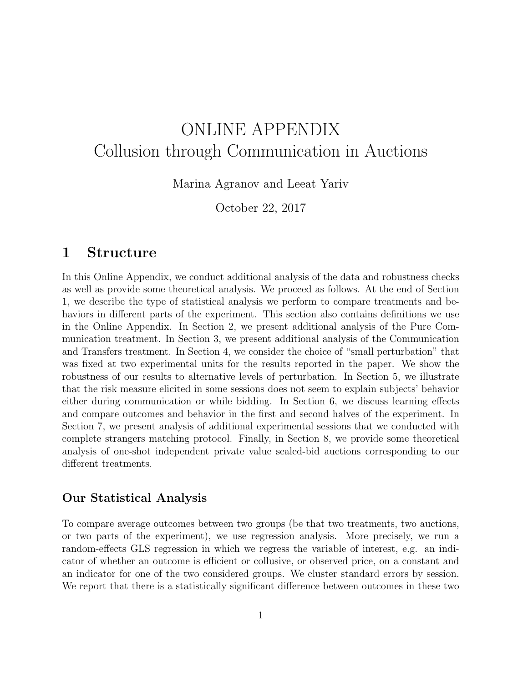# ONLINE APPENDIX Collusion through Communication in Auctions

Marina Agranov and Leeat Yariv

October 22, 2017

# 1 Structure

In this Online Appendix, we conduct additional analysis of the data and robustness checks as well as provide some theoretical analysis. We proceed as follows. At the end of Section 1, we describe the type of statistical analysis we perform to compare treatments and behaviors in different parts of the experiment. This section also contains definitions we use in the Online Appendix. In Section 2, we present additional analysis of the Pure Communication treatment. In Section 3, we present additional analysis of the Communication and Transfers treatment. In Section 4, we consider the choice of "small perturbation" that was fixed at two experimental units for the results reported in the paper. We show the robustness of our results to alternative levels of perturbation. In Section 5, we illustrate that the risk measure elicited in some sessions does not seem to explain subjects' behavior either during communication or while bidding. In Section 6, we discuss learning effects and compare outcomes and behavior in the first and second halves of the experiment. In Section 7, we present analysis of additional experimental sessions that we conducted with complete strangers matching protocol. Finally, in Section 8, we provide some theoretical analysis of one-shot independent private value sealed-bid auctions corresponding to our different treatments.

### Our Statistical Analysis

To compare average outcomes between two groups (be that two treatments, two auctions, or two parts of the experiment), we use regression analysis. More precisely, we run a random-effects GLS regression in which we regress the variable of interest, e.g. an indicator of whether an outcome is efficient or collusive, or observed price, on a constant and an indicator for one of the two considered groups. We cluster standard errors by session. We report that there is a statistically significant difference between outcomes in these two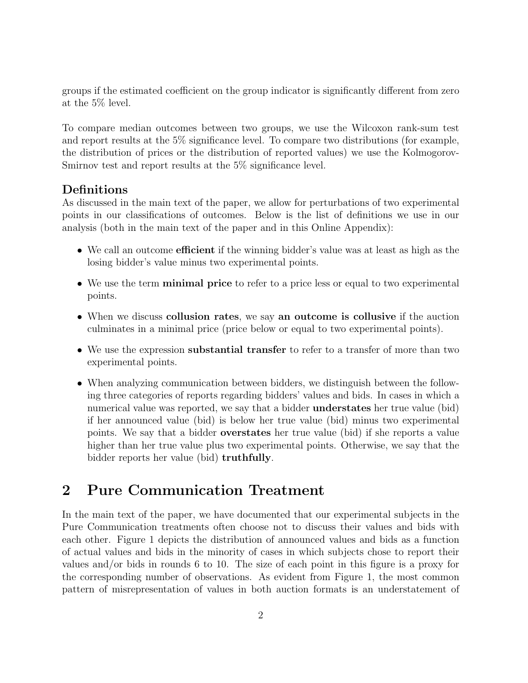groups if the estimated coefficient on the group indicator is significantly different from zero at the 5% level.

To compare median outcomes between two groups, we use the Wilcoxon rank-sum test and report results at the 5% significance level. To compare two distributions (for example, the distribution of prices or the distribution of reported values) we use the Kolmogorov-Smirnov test and report results at the 5% significance level.

### Definitions

As discussed in the main text of the paper, we allow for perturbations of two experimental points in our classifications of outcomes. Below is the list of definitions we use in our analysis (both in the main text of the paper and in this Online Appendix):

- We call an outcome efficient if the winning bidder's value was at least as high as the losing bidder's value minus two experimental points.
- We use the term **minimal price** to refer to a price less or equal to two experimental points.
- When we discuss collusion rates, we say an outcome is collusive if the auction culminates in a minimal price (price below or equal to two experimental points).
- We use the expression substantial transfer to refer to a transfer of more than two experimental points.
- When analyzing communication between bidders, we distinguish between the following three categories of reports regarding bidders' values and bids. In cases in which a numerical value was reported, we say that a bidder understates her true value (bid) if her announced value (bid) is below her true value (bid) minus two experimental points. We say that a bidder overstates her true value (bid) if she reports a value higher than her true value plus two experimental points. Otherwise, we say that the bidder reports her value (bid) truthfully.

# 2 Pure Communication Treatment

In the main text of the paper, we have documented that our experimental subjects in the Pure Communication treatments often choose not to discuss their values and bids with each other. Figure 1 depicts the distribution of announced values and bids as a function of actual values and bids in the minority of cases in which subjects chose to report their values and/or bids in rounds 6 to 10. The size of each point in this figure is a proxy for the corresponding number of observations. As evident from Figure 1, the most common pattern of misrepresentation of values in both auction formats is an understatement of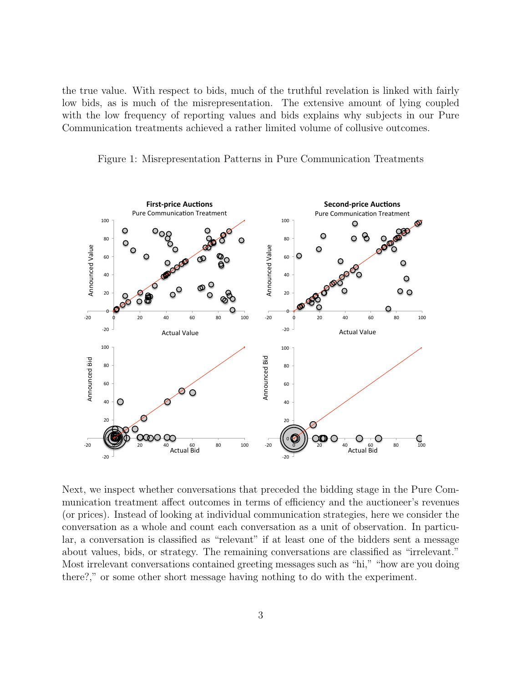the true value. With respect to bids, much of the truthful revelation is linked with fairly low bids, as is much of the misrepresentation. The extensive amount of lying coupled with the low frequency of reporting values and bids explains why subjects in our Pure Communication treatments achieved a rather limited volume of collusive outcomes.

Figure 1: Misrepresentation Patterns in Pure Communication Treatments



Next, we inspect whether conversations that preceded the bidding stage in the Pure Communication treatment affect outcomes in terms of efficiency and the auctioneer's revenues (or prices). Instead of looking at individual communication strategies, here we consider the conversation as a whole and count each conversation as a unit of observation. In particular, a conversation is classified as "relevant" if at least one of the bidders sent a message about values, bids, or strategy. The remaining conversations are classified as "irrelevant." Most irrelevant conversations contained greeting messages such as "hi," "how are you doing there?," or some other short message having nothing to do with the experiment.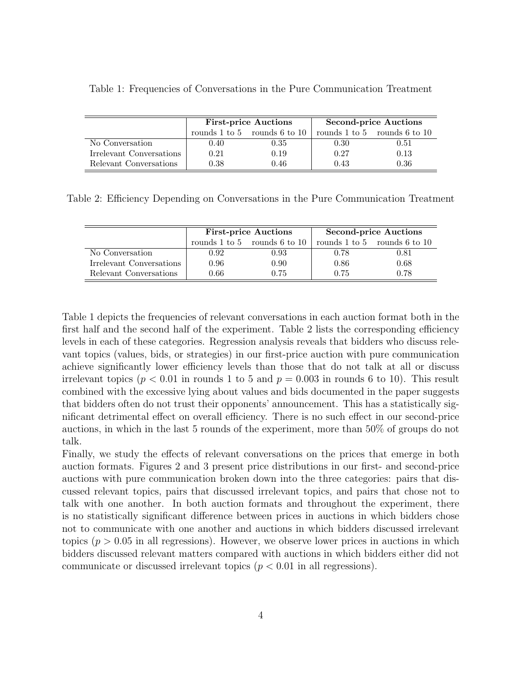|                          |                                      | <b>First-price Auctions</b> | <b>Second-price Auctions</b> |                              |  |
|--------------------------|--------------------------------------|-----------------------------|------------------------------|------------------------------|--|
|                          | rounds $1$ to $5$ rounds $6$ to $10$ |                             |                              | rounds 1 to 5 rounds 6 to 10 |  |
| No Conversation          | 0.40                                 | 0.35                        | 0.30                         | 0.51                         |  |
| Irrelevant Conversations | 0.21                                 | 0.19                        | 0.27                         | 0.13                         |  |
| Relevant Conversations   | 0.38                                 | 0.46                        | 0.43                         | 0.36                         |  |

Table 1: Frequencies of Conversations in the Pure Communication Treatment

Table 2: Efficiency Depending on Conversations in the Pure Communication Treatment

|                          |          | <b>First-price Auctions</b>          | <b>Second-price Auctions</b> |                                      |  |
|--------------------------|----------|--------------------------------------|------------------------------|--------------------------------------|--|
|                          |          | rounds $1$ to $5$ rounds $6$ to $10$ |                              | rounds $1$ to $5$ rounds $6$ to $10$ |  |
| No Conversation          | 0.92     | 0.93                                 | 0.78                         | $\rm 0.81$                           |  |
| Irrelevant Conversations | 0.96     | 0.90                                 | 0.86                         | 0.68                                 |  |
| Relevant Conversations   | $0.66\,$ | 0.75                                 | 0.75                         | 0.78                                 |  |

Table 1 depicts the frequencies of relevant conversations in each auction format both in the first half and the second half of the experiment. Table 2 lists the corresponding efficiency levels in each of these categories. Regression analysis reveals that bidders who discuss relevant topics (values, bids, or strategies) in our first-price auction with pure communication achieve significantly lower efficiency levels than those that do not talk at all or discuss irrelevant topics ( $p < 0.01$  in rounds 1 to 5 and  $p = 0.003$  in rounds 6 to 10). This result combined with the excessive lying about values and bids documented in the paper suggests that bidders often do not trust their opponents' announcement. This has a statistically significant detrimental effect on overall efficiency. There is no such effect in our second-price auctions, in which in the last 5 rounds of the experiment, more than 50% of groups do not talk.

Finally, we study the effects of relevant conversations on the prices that emerge in both auction formats. Figures 2 and 3 present price distributions in our first- and second-price auctions with pure communication broken down into the three categories: pairs that discussed relevant topics, pairs that discussed irrelevant topics, and pairs that chose not to talk with one another. In both auction formats and throughout the experiment, there is no statistically significant difference between prices in auctions in which bidders chose not to communicate with one another and auctions in which bidders discussed irrelevant topics ( $p > 0.05$  in all regressions). However, we observe lower prices in auctions in which bidders discussed relevant matters compared with auctions in which bidders either did not communicate or discussed irrelevant topics ( $p < 0.01$  in all regressions).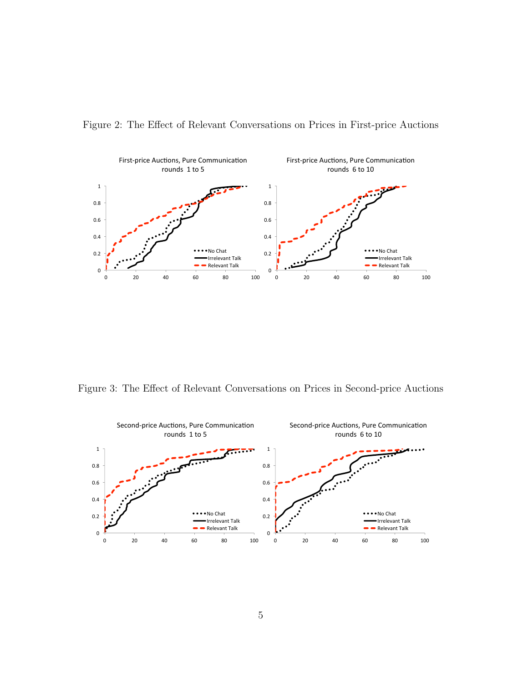

Figure 2: The Effect of Relevant Conversations on Prices in First-price Auctions

Figure 3: The Effect of Relevant Conversations on Prices in Second-price Auctions

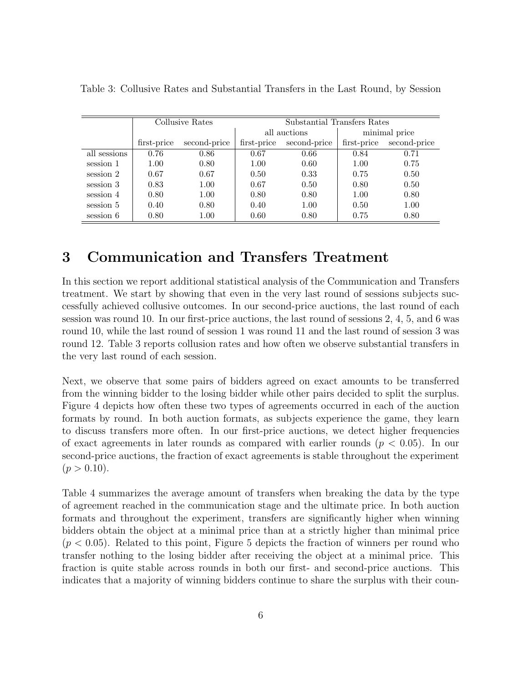|              | Collusive Rates |              | Substantial Transfers Rates |              |             |               |
|--------------|-----------------|--------------|-----------------------------|--------------|-------------|---------------|
|              |                 |              |                             | all auctions |             | minimal price |
|              | first-price     | second-price | first-price                 | second-price | first-price | second-price  |
| all sessions | 0.76            | 0.86         | 0.67                        | 0.66         | 0.84        | 0.71          |
| session 1    | 1.00            | 0.80         | 1.00                        | 0.60         | 1.00        | 0.75          |
| session 2    | 0.67            | 0.67         | 0.50                        | 0.33         | 0.75        | 0.50          |
| session 3    | 0.83            | 1.00         | 0.67                        | 0.50         | 0.80        | 0.50          |
| session 4    | 0.80            | 1.00         | 0.80                        | 0.80         | 1.00        | 0.80          |
| session 5    | 0.40            | 0.80         | 0.40                        | 1.00         | 0.50        | 1.00          |
| session 6    | 0.80            | 1.00         | 0.60                        | 0.80         | 0.75        | 0.80          |

Table 3: Collusive Rates and Substantial Transfers in the Last Round, by Session

# 3 Communication and Transfers Treatment

In this section we report additional statistical analysis of the Communication and Transfers treatment. We start by showing that even in the very last round of sessions subjects successfully achieved collusive outcomes. In our second-price auctions, the last round of each session was round 10. In our first-price auctions, the last round of sessions 2, 4, 5, and 6 was round 10, while the last round of session 1 was round 11 and the last round of session 3 was round 12. Table 3 reports collusion rates and how often we observe substantial transfers in the very last round of each session.

Next, we observe that some pairs of bidders agreed on exact amounts to be transferred from the winning bidder to the losing bidder while other pairs decided to split the surplus. Figure 4 depicts how often these two types of agreements occurred in each of the auction formats by round. In both auction formats, as subjects experience the game, they learn to discuss transfers more often. In our first-price auctions, we detect higher frequencies of exact agreements in later rounds as compared with earlier rounds ( $p < 0.05$ ). In our second-price auctions, the fraction of exact agreements is stable throughout the experiment  $(p > 0.10).$ 

Table 4 summarizes the average amount of transfers when breaking the data by the type of agreement reached in the communication stage and the ultimate price. In both auction formats and throughout the experiment, transfers are significantly higher when winning bidders obtain the object at a minimal price than at a strictly higher than minimal price  $(p < 0.05)$ . Related to this point, Figure 5 depicts the fraction of winners per round who transfer nothing to the losing bidder after receiving the object at a minimal price. This fraction is quite stable across rounds in both our first- and second-price auctions. This indicates that a majority of winning bidders continue to share the surplus with their coun-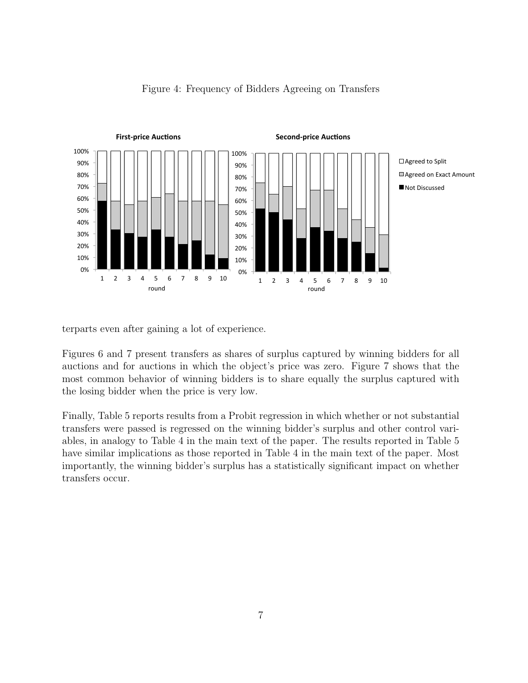

#### Figure 4: Frequency of Bidders Agreeing on Transfers

terparts even after gaining a lot of experience.

most common behavior of winning bidders is to share equally the surplus captured with Figures 6 and 7 present transfers as shares of surplus captured by winning bidders for all auctions and for auctions in which the object's price was zero. Figure 7 shows that the the losing bidder when the price is very low.

Finally, Table 5 reports results from a Probit regression in which whether or not substantial transfers were passed is regressed on the winning bidder's surplus and other control variables, in analogy to Table 4 in the main text of the paper. The results reported in Table 5 have similar implications as those reported in Table 4 in the main text of the paper. Most importantly, the winning bidder's surplus has a statistically significant impact on whether transfers occur.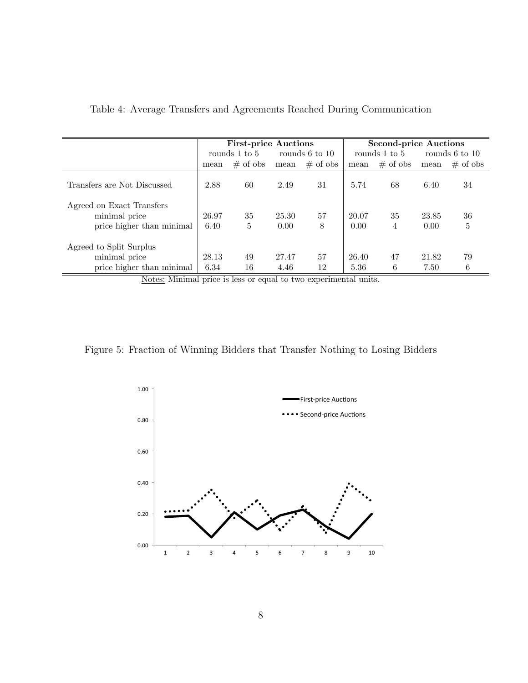|                             |       | <b>First-price Auctions</b>     |       |               | <b>Second-price Auctions</b> |             |                |             |
|-----------------------------|-------|---------------------------------|-------|---------------|------------------------------|-------------|----------------|-------------|
|                             |       | rounds 1 to 5<br>rounds 6 to 10 |       | rounds 1 to 5 |                              |             | rounds 6 to 10 |             |
|                             | mean  | $\#$ of obs                     | mean  | $\#$ of obs   | mean                         | $\#$ of obs | mean           | $\#$ of obs |
| Transfers are Not Discussed | 2.88  | 60                              | 2.49  | 31            | 5.74                         | 68          | 6.40           | 34          |
| Agreed on Exact Transfers   |       |                                 |       |               |                              |             |                |             |
| minimal price               | 26.97 | 35                              | 25.30 | 57            | 20.07                        | 35          | 23.85          | 36          |
| price higher than minimal   | 6.40  | 5                               | 0.00  | 8             | 0.00                         | 4           | 0.00           | 5           |
| Agreed to Split Surplus     |       |                                 |       |               |                              |             |                |             |
| minimal price               | 28.13 | 49                              | 27.47 | 57            | 26.40                        | 47          | 21.82          | 79          |
| price higher than minimal   | 6.34  | 16                              | 4.46  | 12            | 5.36                         | 6           | 7.50           | 6           |

| Table 4: Average Transfers and Agreements Reached During Communication |  |  |  |
|------------------------------------------------------------------------|--|--|--|
|------------------------------------------------------------------------|--|--|--|

Notes: Minimal price is less or equal to two experimental units.

Figure 5: Fraction of Winning Bidders that Transfer Nothing to Losing Bidders

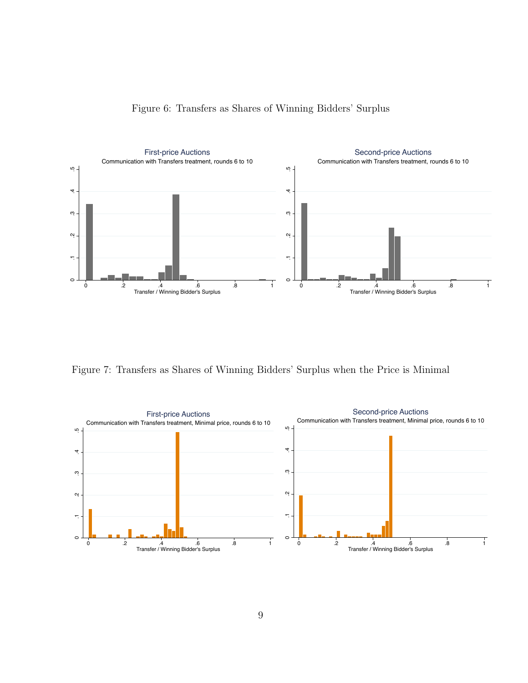

Figure 6: Transfers as Shares of Winning Bidders' Surplus

Figure 7: Transfers as Shares of Winning Bidders' Surplus when the Price is Minimal

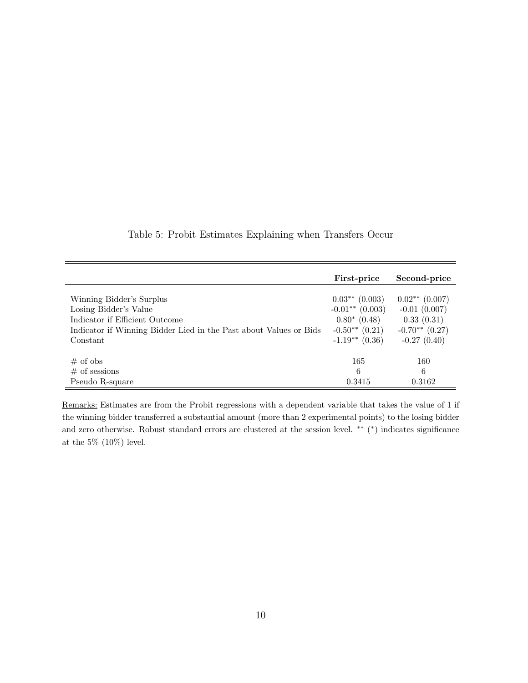|                                                                   | First-price       | Second-price       |
|-------------------------------------------------------------------|-------------------|--------------------|
| Winning Bidder's Surplus                                          | $0.03**$ (0.003)  | $0.02**$ (0.007)   |
| Losing Bidder's Value                                             | $-0.01**$ (0.003) | $-0.01$ $(0.007)$  |
| Indicator if Efficient Outcome                                    | $0.80^*$ (0.48)   | 0.33(0.31)         |
| Indicator if Winning Bidder Lied in the Past about Values or Bids | $-0.50**$ (0.21)  | $-0.70**$ $(0.27)$ |
| Constant                                                          | $-1.19**$ (0.36)  | $-0.27(0.40)$      |
| $#$ of obs                                                        | 165               | 160                |
| $#$ of sessions                                                   | 6                 | 6                  |
| Pseudo R-square                                                   | 0.3415            | 0.3162             |

Table 5: Probit Estimates Explaining when Transfers Occur

Remarks: Estimates are from the Probit regressions with a dependent variable that takes the value of 1 if the winning bidder transferred a substantial amount (more than 2 experimental points) to the losing bidder and zero otherwise. Robust standard errors are clustered at the session level. \*\* (\*) indicates significance at the  $5\%$  (10%) level.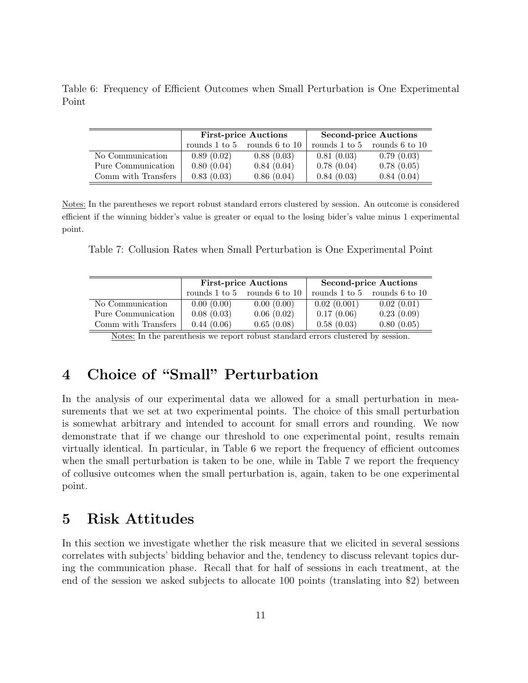Table 6: Frequency of Efficient Outcomes when Small Perturbation is One Experimental Point

|                     |               | <b>First-price Auctions</b> | <b>Second-price Auctions</b> |                                      |  |
|---------------------|---------------|-----------------------------|------------------------------|--------------------------------------|--|
|                     | rounds 1 to 5 | rounds 6 to 10              |                              | rounds $1$ to $5$ rounds $6$ to $10$ |  |
| No Communication    | 0.89(0.02)    | 0.88(0.03)                  | 0.81(0.03)                   | 0.79(0.03)                           |  |
| Pure Communication  | 0.80(0.04)    | 0.84(0.04)                  | 0.78(0.04)                   | 0.78(0.05)                           |  |
| Comm with Transfers | 0.83(0.03)    | 0.86(0.04)                  | 0.84(0.03)                   | 0.84(0.04)                           |  |

Notes: In the parentheses we report robust standard errors clustered by session. An outcome is considered efficient if the winning bidder's value is greater or equal to the losing bider's value minus 1 experimental point.

Table 7: Collusion Rates when Small Perturbation is One Experimental Point

|            |            | <b>Second-price Auctions</b>                                        |                                      |  |
|------------|------------|---------------------------------------------------------------------|--------------------------------------|--|
|            |            |                                                                     | rounds $1$ to $5$ rounds $6$ to $10$ |  |
| 0.00(0.00) | 0.00(0.00) | 0.02(0.001)                                                         | 0.02(0.01)                           |  |
| 0.08(0.03) | 0.06(0.02) | 0.17(0.06)                                                          | 0.23(0.09)                           |  |
| 0.44(0.06) | 0.65(0.08) | 0.58(0.03)                                                          | 0.80(0.05)                           |  |
|            |            | <b>First-price Auctions</b><br>rounds $1$ to $5$ rounds $6$ to $10$ |                                      |  |

Notes: In the parenthesis we report robust standard errors clustered by session.

# 4 Choice of "Small" Perturbation

In the analysis of our experimental data we allowed for a small perturbation in measurements that we set at two experimental points. The choice of this small perturbation is somewhat arbitrary and intended to account for small errors and rounding. We now demonstrate that if we change our threshold to one experimental point, results remain virtually identical. In particular, in Table 6 we report the frequency of efficient outcomes when the small perturbation is taken to be one, while in Table 7 we report the frequency of collusive outcomes when the small perturbation is, again, taken to be one experimental point.

# 5 Risk Attitudes

In this section we investigate whether the risk measure that we elicited in several sessions correlates with subjects' bidding behavior and the, tendency to discuss relevant topics during the communication phase. Recall that for half of sessions in each treatment, at the end of the session we asked subjects to allocate 100 points (translating into \$2) between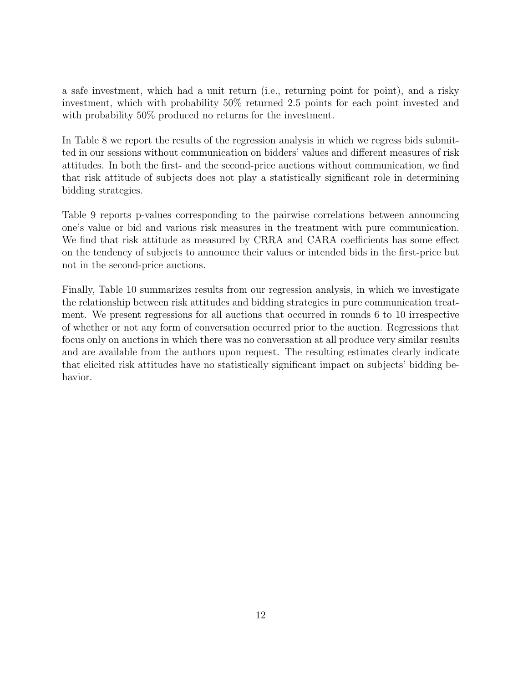a safe investment, which had a unit return (i.e., returning point for point), and a risky investment, which with probability 50% returned 2.5 points for each point invested and with probability 50% produced no returns for the investment.

In Table 8 we report the results of the regression analysis in which we regress bids submitted in our sessions without communication on bidders' values and different measures of risk attitudes. In both the first- and the second-price auctions without communication, we find that risk attitude of subjects does not play a statistically significant role in determining bidding strategies.

Table 9 reports p-values corresponding to the pairwise correlations between announcing one's value or bid and various risk measures in the treatment with pure communication. We find that risk attitude as measured by CRRA and CARA coefficients has some effect on the tendency of subjects to announce their values or intended bids in the first-price but not in the second-price auctions.

Finally, Table 10 summarizes results from our regression analysis, in which we investigate the relationship between risk attitudes and bidding strategies in pure communication treatment. We present regressions for all auctions that occurred in rounds 6 to 10 irrespective of whether or not any form of conversation occurred prior to the auction. Regressions that focus only on auctions in which there was no conversation at all produce very similar results and are available from the authors upon request. The resulting estimates clearly indicate that elicited risk attitudes have no statistically significant impact on subjects' bidding behavior.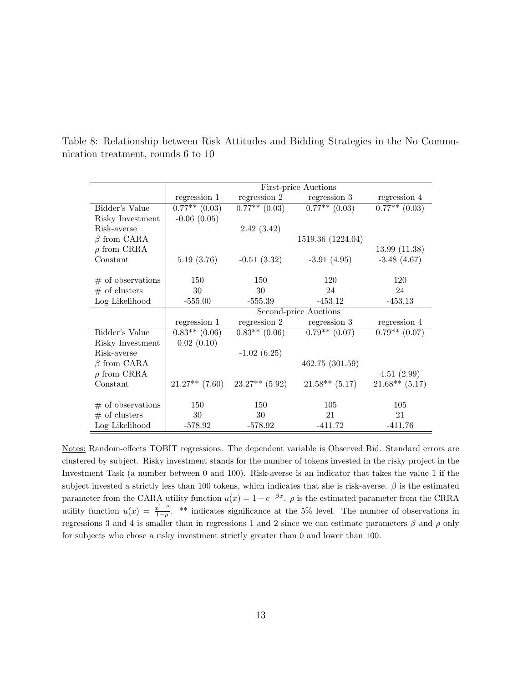|                     |                  |                   | <b>First-price Auctions</b> |                    |
|---------------------|------------------|-------------------|-----------------------------|--------------------|
|                     | regression 1     | regression 2      | regression 3                | regression 4       |
| Bidder's Value      | $0.77**$ (0.03)  | $0.77**$ $(0.03)$ | $0.77**$ (0.03)             | $0.77***$ $(0.03)$ |
| Risky Investment    | $-0.06$ $(0.05)$ |                   |                             |                    |
| Risk-averse         |                  | 2.42(3.42)        |                             |                    |
| $\beta$ from CARA   |                  |                   | 1519.36 (1224.04)           |                    |
| $\rho$ from CRRA    |                  |                   |                             | 13.99(11.38)       |
| Constant            | 5.19(3.76)       | $-0.51(3.32)$     | $-3.91(4.95)$               | $-3.48(4.67)$      |
|                     |                  |                   |                             |                    |
| $#$ of observations | 150              | 150               | 120                         | 120                |
| $#$ of clusters     | 30               | 30                | 24                          | 24                 |
| Log Likelihood      | $-555.00$        | $-555.39$         | $-453.12$                   | $-453.13$          |
|                     |                  |                   | Second-price Auctions       |                    |
|                     | regression 1     | regression 2      | regression 3                | regression 4       |
| Bidder's Value      | $0.83**$ (0.06)  | $0.83**$ (0.06)   | $0.79**$ (0.07)             | $0.79**$ (0.07)    |
| Risky Investment    | 0.02(0.10)       |                   |                             |                    |
| Risk-averse         |                  | $-1.02(6.25)$     |                             |                    |
| $\beta$ from CARA   |                  |                   | 462.75(301.59)              |                    |
| $\rho$ from CRRA    |                  |                   |                             | 4.51(2.99)         |
| Constant            | $21.27**$ (7.60) | $23.27**$ (5.92)  | $21.58**$ (5.17)            | $21.68**$ (5.17)   |
|                     |                  |                   |                             |                    |
| $#$ of observations | 150              | 150               | 105                         | 105                |
| $#$ of clusters     | 30               | 30                | 21                          | 21                 |
| Log Likelihood      | $-578.92$        | $-578.92$         | $-411.72$                   | $-411.76$          |

Table 8: Relationship between Risk Attitudes and Bidding Strategies in the No Communication treatment, rounds 6 to 10

Notes: Random-effects TOBIT regressions. The dependent variable is Observed Bid. Standard errors are clustered by subject. Risky investment stands for the number of tokens invested in the risky project in the Investment Task (a number between 0 and 100). Risk-averse is an indicator that takes the value 1 if the subject invested a strictly less than 100 tokens, which indicates that she is risk-averse.  $\beta$  is the estimated parameter from the CARA utility function  $u(x) = 1 - e^{-\beta x}$ .  $\rho$  is the estimated parameter from the CRRA utility function  $u(x) = \frac{x^{1-\rho}}{1-\rho}$  $\frac{x^2-\mu}{1-\rho}$ . \*\* indicates significance at the 5% level. The number of observations in regressions 3 and 4 is smaller than in regressions 1 and 2 since we can estimate parameters β and ρ only for subjects who chose a risky investment strictly greater than 0 and lower than 100.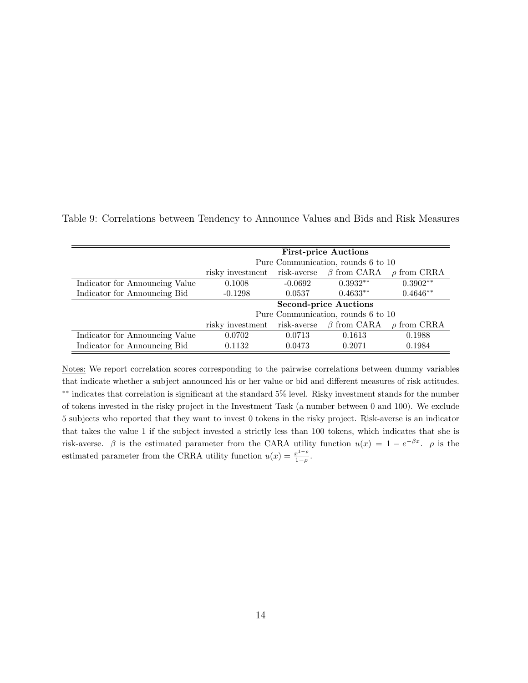| Table 9: Correlations between Tendency to Announce Values and Bids and Risk Measures |  |  |
|--------------------------------------------------------------------------------------|--|--|
|--------------------------------------------------------------------------------------|--|--|

|                                |                  |                                    | <b>First-price Auctions</b>        |                  |  |  |
|--------------------------------|------------------|------------------------------------|------------------------------------|------------------|--|--|
|                                |                  | Pure Communication, rounds 6 to 10 |                                    |                  |  |  |
|                                | risky investment | risk-averse                        | $\beta$ from CARA                  | $\rho$ from CRRA |  |  |
| Indicator for Announcing Value | 0.1008           | $-0.0692$                          | $0.3932**$                         | $0.3902**$       |  |  |
| Indicator for Announcing Bid   | $-0.1298$        | 0.0537                             | $0.4633**$                         | $0.4646**$       |  |  |
|                                |                  |                                    | <b>Second-price Auctions</b>       |                  |  |  |
|                                |                  |                                    | Pure Communication, rounds 6 to 10 |                  |  |  |
|                                | risky investment | risk-averse                        | $\beta$ from CARA                  | $\rho$ from CRRA |  |  |
| Indicator for Announcing Value | 0.0702           | 0.0713                             | 0.1613                             | 0.1988           |  |  |
| Indicator for Announcing Bid   | 0.1132           | 0.0473                             | 0.2071                             | 0.1984           |  |  |

Notes: We report correlation scores corresponding to the pairwise correlations between dummy variables that indicate whether a subject announced his or her value or bid and different measures of risk attitudes. ∗∗ indicates that correlation is significant at the standard 5% level. Risky investment stands for the number of tokens invested in the risky project in the Investment Task (a number between 0 and 100). We exclude 5 subjects who reported that they want to invest 0 tokens in the risky project. Risk-averse is an indicator that takes the value 1 if the subject invested a strictly less than 100 tokens, which indicates that she is risk-averse.  $\beta$  is the estimated parameter from the CARA utility function  $u(x) = 1 - e^{-\beta x}$ .  $\rho$  is the estimated parameter from the CRRA utility function  $u(x) = \frac{x^{1-\rho}}{1-\rho}$  $\frac{x^{1-\rho}}{1-\rho}.$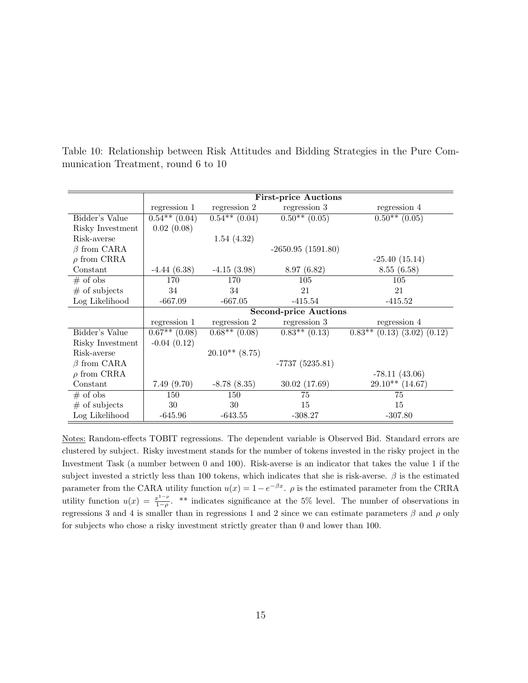|                   |                               |                               | <b>First-price Auctions</b>  |                                     |
|-------------------|-------------------------------|-------------------------------|------------------------------|-------------------------------------|
|                   | regression 1                  | regression 2                  | regression 3                 | regression 4                        |
| Bidder's Value    | $\overline{0.54^{**}}$ (0.04) | $\overline{0.54^{**}(0.04)}$  | $\overline{0.50^{**}(0.05)}$ | $\overline{0.50^{**}(0.05)}$        |
| Risky Investment  | 0.02(0.08)                    |                               |                              |                                     |
| Risk-averse       |                               | 1.54(4.32)                    |                              |                                     |
| $\beta$ from CARA |                               |                               | $-2650.95(1591.80)$          |                                     |
| $\rho$ from CRRA  |                               |                               |                              | $-25.40(15.14)$                     |
| Constant          | $-4.44(6.38)$                 | $-4.15(3.98)$                 | 8.97(6.82)                   | 8.55(6.58)                          |
| $#$ of obs        | 170                           | 170                           | 105                          | 105                                 |
| $#$ of subjects   | 34                            | 34                            | 21                           | 21                                  |
| Log Likelihood    | $-667.09$                     | $-667.05$                     | $-415.54$                    | $-415.52$                           |
|                   |                               |                               | Second-price Auctions        |                                     |
|                   | regression 1                  | regression 2                  | regression 3                 | regression 4                        |
| Bidder's Value    | $0.67**$ (0.08)               | $\overline{0.68^{**}}$ (0.08) | $0.83**$ $(0.13)$            | $0.83**$ $(0.13)$ $(3.02)$ $(0.12)$ |
| Risky Investment  | $-0.04(0.12)$                 |                               |                              |                                     |
| Risk-averse       |                               | $20.10**$ (8.75)              |                              |                                     |
| $\beta$ from CARA |                               |                               | $-7737(5235.81)$             |                                     |
| $\rho$ from CRRA  |                               |                               |                              | $-78.11(43.06)$                     |
| Constant          | 7.49(9.70)                    | $-8.78(8.35)$                 | 30.02(17.69)                 | $29.10**$ (14.67)                   |
| $#$ of obs        | 150                           | 150                           | 75                           | 75                                  |
| $#$ of subjects   | 30                            | 30                            | 15                           | 15                                  |
| Log Likelihood    | $-645.96$                     | $-643.55$                     | $-308.27$                    | $-307.80$                           |

Table 10: Relationship between Risk Attitudes and Bidding Strategies in the Pure Communication Treatment, round 6 to 10

Notes: Random-effects TOBIT regressions. The dependent variable is Observed Bid. Standard errors are clustered by subject. Risky investment stands for the number of tokens invested in the risky project in the Investment Task (a number between 0 and 100). Risk-averse is an indicator that takes the value 1 if the subject invested a strictly less than 100 tokens, which indicates that she is risk-averse.  $\beta$  is the estimated parameter from the CARA utility function  $u(x) = 1 - e^{-\beta x}$ .  $\rho$  is the estimated parameter from the CRRA utility function  $u(x) = \frac{x^{1-\rho}}{1-\rho}$  $\frac{x^2-\mu}{1-\rho}$ . \*\* indicates significance at the 5% level. The number of observations in regressions 3 and 4 is smaller than in regressions 1 and 2 since we can estimate parameters β and ρ only for subjects who chose a risky investment strictly greater than 0 and lower than 100.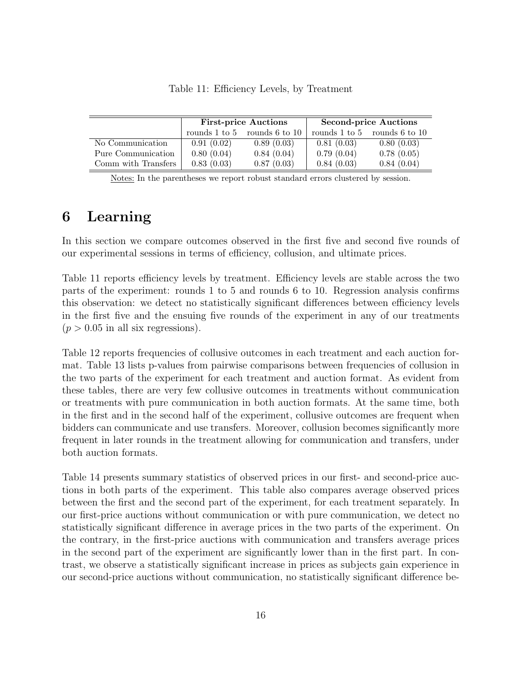|                     |                                      | <b>First-price Auctions</b> | <b>Second-price Auctions</b> |                                      |  |
|---------------------|--------------------------------------|-----------------------------|------------------------------|--------------------------------------|--|
|                     | rounds $1$ to $5$ rounds $6$ to $10$ |                             |                              | rounds $1$ to $5$ rounds $6$ to $10$ |  |
| No Communication    | 0.91(0.02)                           | 0.89(0.03)                  | 0.81(0.03)                   | 0.80(0.03)                           |  |
| Pure Communication  | 0.80(0.04)                           | 0.84(0.04)                  | 0.79(0.04)                   | 0.78(0.05)                           |  |
| Comm with Transfers | 0.83(0.03)                           | 0.87(0.03)                  | 0.84(0.03)                   | 0.84(0.04)                           |  |

Table 11: Efficiency Levels, by Treatment

Notes: In the parentheses we report robust standard errors clustered by session.

# 6 Learning

 $\bar{z}$ 

In this section we compare outcomes observed in the first five and second five rounds of our experimental sessions in terms of efficiency, collusion, and ultimate prices.

Table 11 reports efficiency levels by treatment. Efficiency levels are stable across the two parts of the experiment: rounds 1 to 5 and rounds 6 to 10. Regression analysis confirms this observation: we detect no statistically significant differences between efficiency levels in the first five and the ensuing five rounds of the experiment in any of our treatments  $(p > 0.05$  in all six regressions).

Table 12 reports frequencies of collusive outcomes in each treatment and each auction format. Table 13 lists p-values from pairwise comparisons between frequencies of collusion in the two parts of the experiment for each treatment and auction format. As evident from these tables, there are very few collusive outcomes in treatments without communication or treatments with pure communication in both auction formats. At the same time, both in the first and in the second half of the experiment, collusive outcomes are frequent when bidders can communicate and use transfers. Moreover, collusion becomes significantly more frequent in later rounds in the treatment allowing for communication and transfers, under both auction formats.

Table 14 presents summary statistics of observed prices in our first- and second-price auctions in both parts of the experiment. This table also compares average observed prices between the first and the second part of the experiment, for each treatment separately. In our first-price auctions without communication or with pure communication, we detect no statistically significant difference in average prices in the two parts of the experiment. On the contrary, in the first-price auctions with communication and transfers average prices in the second part of the experiment are significantly lower than in the first part. In contrast, we observe a statistically significant increase in prices as subjects gain experience in our second-price auctions without communication, no statistically significant difference be-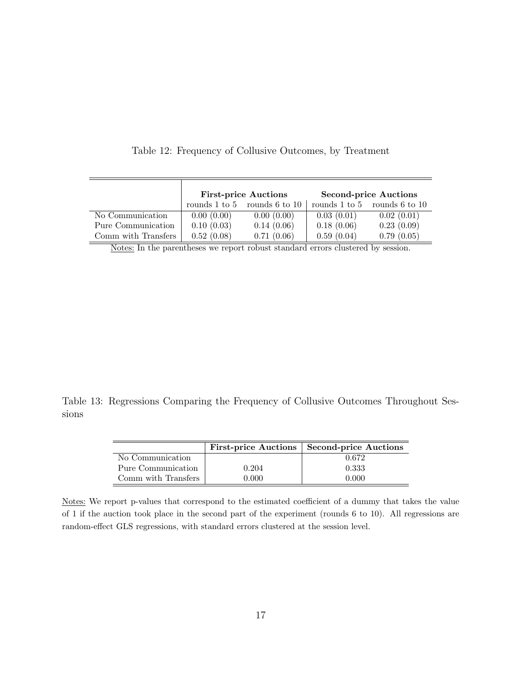|                     |            | <b>First-price Auctions</b>          | <b>Second-price Auctions</b> |                                      |  |  |
|---------------------|------------|--------------------------------------|------------------------------|--------------------------------------|--|--|
|                     |            | rounds $1$ to $5$ rounds $6$ to $10$ |                              | rounds $1$ to $5$ rounds $6$ to $10$ |  |  |
| No Communication    | 0.00(0.00) | 0.00(0.00)                           | 0.03(0.01)                   | 0.02(0.01)                           |  |  |
| Pure Communication  | 0.10(0.03) | 0.14(0.06)                           | 0.18(0.06)                   | 0.23(0.09)                           |  |  |
| Comm with Transfers | 0.52(0.08) | 0.71(0.06)                           | 0.59(0.04)                   | 0.79(0.05)                           |  |  |

Table 12: Frequency of Collusive Outcomes, by Treatment

Notes: In the parentheses we report robust standard errors clustered by session.

Table 13: Regressions Comparing the Frequency of Collusive Outcomes Throughout Sessions

|                     |       | First-price Auctions   Second-price Auctions |
|---------------------|-------|----------------------------------------------|
| No Communication    |       | 0.672                                        |
| Pure Communication  | 0.204 | 0.333                                        |
| Comm with Transfers | 0.000 | N 000                                        |

Notes: We report p-values that correspond to the estimated coefficient of a dummy that takes the value of 1 if the auction took place in the second part of the experiment (rounds 6 to 10). All regressions are random-effect GLS regressions, with standard errors clustered at the session level.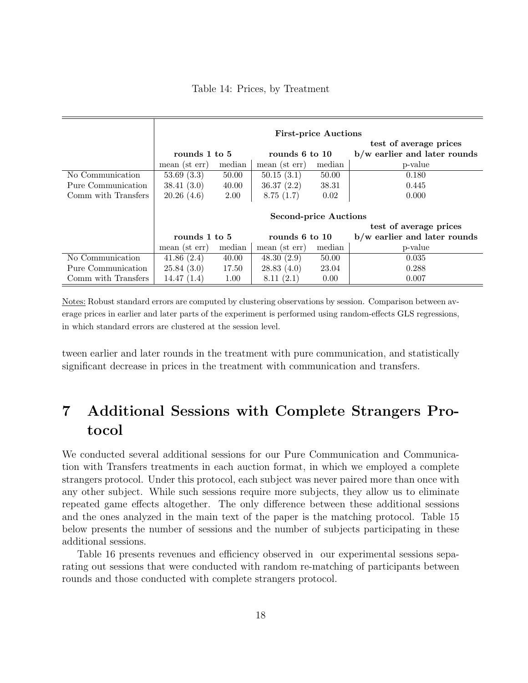|  |  |  |  | Table 14: Prices, by Treatment |
|--|--|--|--|--------------------------------|
|--|--|--|--|--------------------------------|

|                     | <b>First-price Auctions</b>  |        |                |        |                                |  |  |  |
|---------------------|------------------------------|--------|----------------|--------|--------------------------------|--|--|--|
|                     | test of average prices       |        |                |        |                                |  |  |  |
|                     | rounds 1 to 5                |        | rounds 6 to 10 |        | $b/w$ earlier and later rounds |  |  |  |
|                     | median<br>mean (st err)      |        | mean (st err)  | median | p-value                        |  |  |  |
| No Communication    | 53.69(3.3)                   | 50.00  | 50.15(3.1)     | 50.00  | 0.180                          |  |  |  |
| Pure Communication  | 38.41(3.0)                   | 40.00  | 36.37(2.2)     | 38.31  | 0.445                          |  |  |  |
| Comm with Transfers | 20.26(4.6)                   | 2.00   | 8.75(1.7)      | 0.02   | 0.000                          |  |  |  |
|                     |                              |        |                |        |                                |  |  |  |
|                     | <b>Second-price Auctions</b> |        |                |        |                                |  |  |  |
|                     | test of average prices       |        |                |        |                                |  |  |  |
|                     | rounds 1 to 5                |        | rounds 6 to 10 |        | b/w earlier and later rounds   |  |  |  |
|                     | mean (st err)                | median | mean (st err)  | median | p-value                        |  |  |  |
| No Communication    | 41.86(2.4)                   | 40.00  | 48.30(2.9)     | 50.00  | 0.035                          |  |  |  |
| Pure Communication  | 25.84(3.0)                   | 17.50  | 28.83(4.0)     | 23.04  | 0.288                          |  |  |  |
| Comm with Transfers | 14.47(1.4)                   | 1.00   | 8.11(2.1)      | 0.00   | 0.007                          |  |  |  |

Notes: Robust standard errors are computed by clustering observations by session. Comparison between average prices in earlier and later parts of the experiment is performed using random-effects GLS regressions, in which standard errors are clustered at the session level.

tween earlier and later rounds in the treatment with pure communication, and statistically significant decrease in prices in the treatment with communication and transfers.

# 7 Additional Sessions with Complete Strangers Protocol

We conducted several additional sessions for our Pure Communication and Communication with Transfers treatments in each auction format, in which we employed a complete strangers protocol. Under this protocol, each subject was never paired more than once with any other subject. While such sessions require more subjects, they allow us to eliminate repeated game effects altogether. The only difference between these additional sessions and the ones analyzed in the main text of the paper is the matching protocol. Table 15 below presents the number of sessions and the number of subjects participating in these additional sessions.

Table 16 presents revenues and efficiency observed in our experimental sessions separating out sessions that were conducted with random re-matching of participants between rounds and those conducted with complete strangers protocol.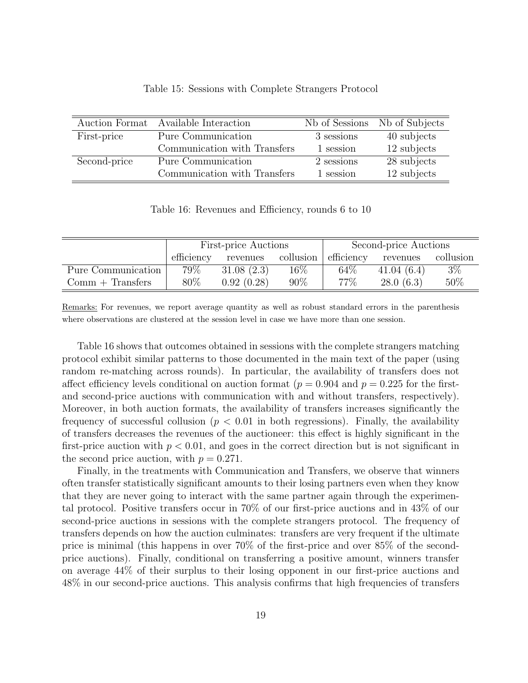| Auction Format | Available Interaction        | Nb of Sessions | Nb of Subjects |
|----------------|------------------------------|----------------|----------------|
| First-price    | Pure Communication           | 3 sessions     | 40 subjects    |
|                | Communication with Transfers | 1 session      | 12 subjects    |
| Second-price   | Pure Communication           | 2 sessions     | 28 subjects    |
|                | Communication with Transfers | 1 session      | 12 subjects    |

#### Table 15: Sessions with Complete Strangers Protocol

Table 16: Revenues and Efficiency, rounds 6 to 10

|                    |                        | <b>First-price Auctions</b> |           | Second-price Auctions |            |           |
|--------------------|------------------------|-----------------------------|-----------|-----------------------|------------|-----------|
|                    | efficiency<br>revenues |                             | collusion | efficiency            | revenues   | collusion |
| Pure Communication | 79%                    | 31.08(2.3)                  | $16\%$    | 64\%                  | 41.04(6.4) | $3\%$     |
| $Comm + Transfers$ | 80%                    | 0.92(0.28)                  | 90%       | 77%                   | 28.0(6.3)  | 50%       |

Remarks: For revenues, we report average quantity as well as robust standard errors in the parenthesis where observations are clustered at the session level in case we have more than one session.

Table 16 shows that outcomes obtained in sessions with the complete strangers matching protocol exhibit similar patterns to those documented in the main text of the paper (using random re-matching across rounds). In particular, the availability of transfers does not affect efficiency levels conditional on auction format ( $p = 0.904$  and  $p = 0.225$  for the firstand second-price auctions with communication with and without transfers, respectively). Moreover, in both auction formats, the availability of transfers increases significantly the frequency of successful collusion  $(p < 0.01$  in both regressions). Finally, the availability of transfers decreases the revenues of the auctioneer: this effect is highly significant in the first-price auction with  $p < 0.01$ , and goes in the correct direction but is not significant in the second price auction, with  $p = 0.271$ .

Finally, in the treatments with Communication and Transfers, we observe that winners often transfer statistically significant amounts to their losing partners even when they know that they are never going to interact with the same partner again through the experimental protocol. Positive transfers occur in 70% of our first-price auctions and in 43% of our second-price auctions in sessions with the complete strangers protocol. The frequency of transfers depends on how the auction culminates: transfers are very frequent if the ultimate price is minimal (this happens in over 70% of the first-price and over 85% of the secondprice auctions). Finally, conditional on transferring a positive amount, winners transfer on average 44% of their surplus to their losing opponent in our first-price auctions and 48% in our second-price auctions. This analysis confirms that high frequencies of transfers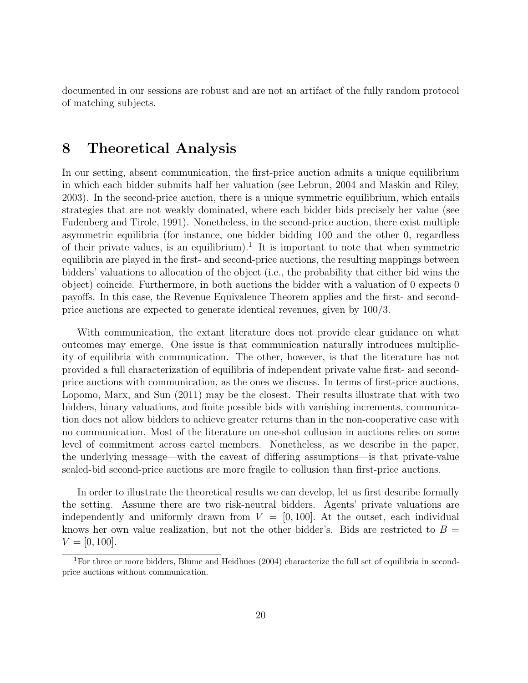documented in our sessions are robust and are not an artifact of the fully random protocol of matching subjects.

### 8 Theoretical Analysis

In our setting, absent communication, the first-price auction admits a unique equilibrium in which each bidder submits half her valuation (see Lebrun, 2004 and Maskin and Riley, 2003). In the second-price auction, there is a unique symmetric equilibrium, which entails strategies that are not weakly dominated, where each bidder bids precisely her value (see Fudenberg and Tirole, 1991). Nonetheless, in the second-price auction, there exist multiple asymmetric equilibria (for instance, one bidder bidding 100 and the other 0, regardless of their private values, is an equilibrium).<sup>1</sup> It is important to note that when symmetric equilibria are played in the first- and second-price auctions, the resulting mappings between bidders' valuations to allocation of the object (i.e., the probability that either bid wins the object) coincide. Furthermore, in both auctions the bidder with a valuation of 0 expects 0 payoffs. In this case, the Revenue Equivalence Theorem applies and the first- and secondprice auctions are expected to generate identical revenues, given by 100/3.

With communication, the extant literature does not provide clear guidance on what outcomes may emerge. One issue is that communication naturally introduces multiplicity of equilibria with communication. The other, however, is that the literature has not provided a full characterization of equilibria of independent private value first- and secondprice auctions with communication, as the ones we discuss. In terms of first-price auctions, Lopomo, Marx, and Sun (2011) may be the closest. Their results illustrate that with two bidders, binary valuations, and finite possible bids with vanishing increments, communication does not allow bidders to achieve greater returns than in the non-cooperative case with no communication. Most of the literature on one-shot collusion in auctions relies on some level of commitment across cartel members. Nonetheless, as we describe in the paper, the underlying message—with the caveat of differing assumptions—is that private-value sealed-bid second-price auctions are more fragile to collusion than first-price auctions.

In order to illustrate the theoretical results we can develop, let us first describe formally the setting. Assume there are two risk-neutral bidders. Agents' private valuations are independently and uniformly drawn from  $V = [0, 100]$ . At the outset, each individual knows her own value realization, but not the other bidder's. Bids are restricted to  $B =$  $V = [0, 100].$ 

<sup>1</sup>For three or more bidders, Blume and Heidhues (2004) characterize the full set of equilibria in secondprice auctions without communication.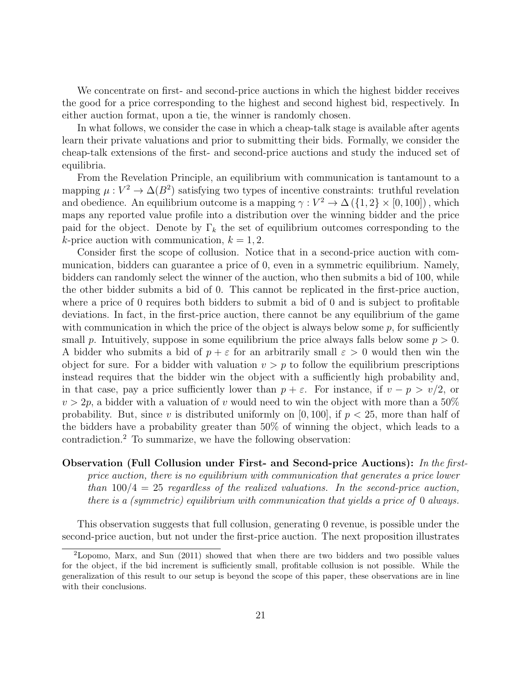We concentrate on first- and second-price auctions in which the highest bidder receives the good for a price corresponding to the highest and second highest bid, respectively. In either auction format, upon a tie, the winner is randomly chosen.

In what follows, we consider the case in which a cheap-talk stage is available after agents learn their private valuations and prior to submitting their bids. Formally, we consider the cheap-talk extensions of the first- and second-price auctions and study the induced set of equilibria.

From the Revelation Principle, an equilibrium with communication is tantamount to a mapping  $\mu : V^2 \to \Delta(B^2)$  satisfying two types of incentive constraints: truthful revelation and obedience. An equilibrium outcome is a mapping  $\gamma : V^2 \to \Delta({1, 2} \times [0, 100])$ , which maps any reported value profile into a distribution over the winning bidder and the price paid for the object. Denote by  $\Gamma_k$  the set of equilibrium outcomes corresponding to the k-price auction with communication,  $k = 1, 2$ .

Consider first the scope of collusion. Notice that in a second-price auction with communication, bidders can guarantee a price of 0, even in a symmetric equilibrium. Namely, bidders can randomly select the winner of the auction, who then submits a bid of 100, while the other bidder submits a bid of 0. This cannot be replicated in the first-price auction, where a price of 0 requires both bidders to submit a bid of 0 and is subject to profitable deviations. In fact, in the first-price auction, there cannot be any equilibrium of the game with communication in which the price of the object is always below some  $p$ , for sufficiently small p. Intuitively, suppose in some equilibrium the price always falls below some  $p > 0$ . A bidder who submits a bid of  $p + \varepsilon$  for an arbitrarily small  $\varepsilon > 0$  would then win the object for sure. For a bidder with valuation  $v > p$  to follow the equilibrium prescriptions instead requires that the bidder win the object with a sufficiently high probability and, in that case, pay a price sufficiently lower than  $p + \varepsilon$ . For instance, if  $v - p > v/2$ , or  $v > 2p$ , a bidder with a valuation of v would need to win the object with more than a 50% probability. But, since v is distributed uniformly on [0, 100], if  $p < 25$ , more than half of the bidders have a probability greater than 50% of winning the object, which leads to a contradiction.<sup>2</sup> To summarize, we have the following observation:

Observation (Full Collusion under First- and Second-price Auctions): In the firstprice auction, there is no equilibrium with communication that generates a price lower than  $100/4 = 25$  regardless of the realized valuations. In the second-price auction, there is a (symmetric) equilibrium with communication that yields a price of 0 always.

This observation suggests that full collusion, generating 0 revenue, is possible under the second-price auction, but not under the first-price auction. The next proposition illustrates

<sup>2</sup>Lopomo, Marx, and Sun (2011) showed that when there are two bidders and two possible values for the object, if the bid increment is sufficiently small, profitable collusion is not possible. While the generalization of this result to our setup is beyond the scope of this paper, these observations are in line with their conclusions.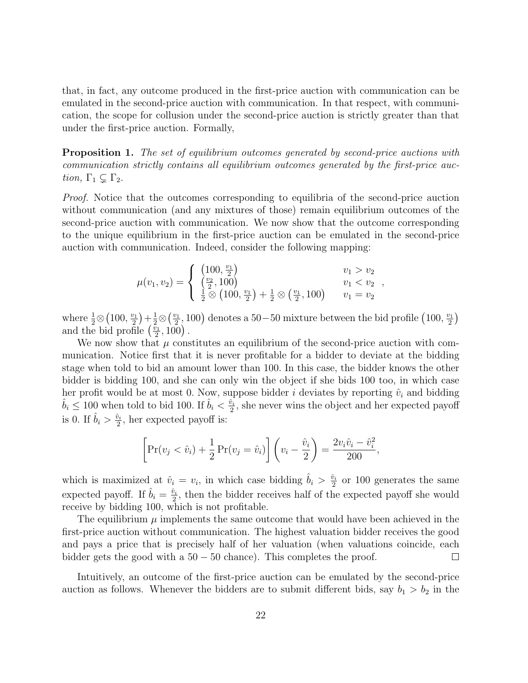that, in fact, any outcome produced in the first-price auction with communication can be emulated in the second-price auction with communication. In that respect, with communication, the scope for collusion under the second-price auction is strictly greater than that under the first-price auction. Formally,

**Proposition 1.** The set of equilibrium outcomes generated by second-price auctions with communication strictly contains all equilibrium outcomes generated by the first-price auction,  $\Gamma_1 \subsetneq \Gamma_2$ .

*Proof.* Notice that the outcomes corresponding to equilibria of the second-price auction without communication (and any mixtures of those) remain equilibrium outcomes of the second-price auction with communication. We now show that the outcome corresponding to the unique equilibrium in the first-price auction can be emulated in the second-price auction with communication. Indeed, consider the following mapping:

$$
\mu(v_1, v_2) = \begin{cases}\n\left(\begin{matrix}100, \frac{v_1}{2} \\ \frac{v_2}{2}, 100\end{matrix}\right) & v_1 > v_2 \\
\frac{1}{2} \otimes \left(100, \frac{v_1}{2}\right) + \frac{1}{2} \otimes \left(\frac{v_1}{2}, 100\right) & v_1 = v_2\n\end{cases}
$$

where  $\frac{1}{2}\otimes \left(100,\frac{v_1}{2}\right)$  $(\frac{v_1}{2}) + \frac{1}{2} \otimes (\frac{v_1}{2})$  $\frac{y_1}{2}$ , 100) denotes a 50−50 mixture between the bid profile (100,  $\frac{v_1}{2}$ )  $\frac{\pi}{2})$ and the bid profile  $\left(\frac{\tilde{v}_1}{2}\right)$  $(\frac{v_1}{2}, 100)$  .

We now show that  $\mu$  constitutes an equilibrium of the second-price auction with communication. Notice first that it is never profitable for a bidder to deviate at the bidding stage when told to bid an amount lower than 100. In this case, the bidder knows the other bidder is bidding 100, and she can only win the object if she bids 100 too, in which case her profit would be at most 0. Now, suppose bidder i deviates by reporting  $\hat{v}_i$  and bidding  $\hat{b}_i \leq 100$  when told to bid 100. If  $\hat{b}_i < \frac{\hat{v}_i}{2}$  $\frac{\partial u_i}{\partial x}$ , she never wins the object and her expected payoff is 0. If  $\hat{b}_i > \frac{\hat{v}_i}{2}$  $\frac{\partial i}{2}$ , her expected payoff is:

$$
\[Pr(v_j < \hat{v}_i) + \frac{1}{2} Pr(v_j = \hat{v}_i) \] \left( v_i - \frac{\hat{v}_i}{2} \right) = \frac{2v_i\hat{v}_i - \hat{v}_i^2}{200},
$$

which is maximized at  $\hat{v}_i = v_i$ , in which case bidding  $\hat{b}_i > \frac{\hat{v}_i}{2}$  $\frac{\dot{v}_i}{2}$  or 100 generates the same expected payoff. If  $\hat{b}_i = \frac{\hat{v}_i}{2}$  $\frac{\partial u_i}{\partial x}$ , then the bidder receives half of the expected payoff she would receive by bidding 100, which is not profitable.

The equilibrium  $\mu$  implements the same outcome that would have been achieved in the first-price auction without communication. The highest valuation bidder receives the good and pays a price that is precisely half of her valuation (when valuations coincide, each bidder gets the good with a  $50 - 50$  chance). This completes the proof.  $\perp$ 

Intuitively, an outcome of the first-price auction can be emulated by the second-price auction as follows. Whenever the bidders are to submit different bids, say  $b_1 > b_2$  in the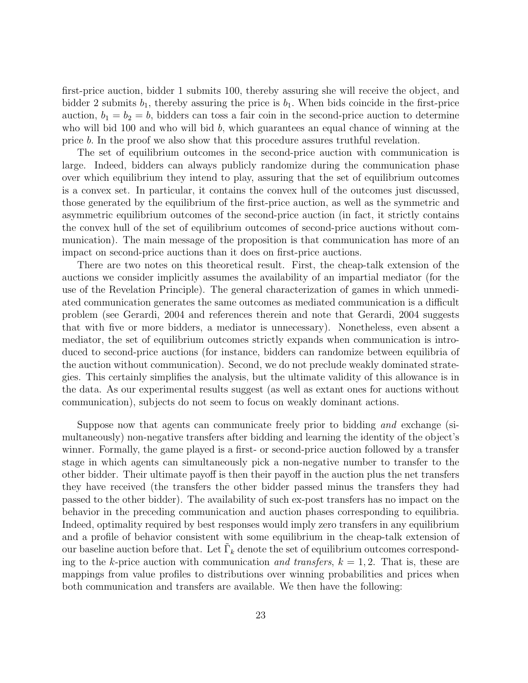first-price auction, bidder 1 submits 100, thereby assuring she will receive the object, and bidder 2 submits  $b_1$ , thereby assuring the price is  $b_1$ . When bids coincide in the first-price auction,  $b_1 = b_2 = b$ , bidders can toss a fair coin in the second-price auction to determine who will bid 100 and who will bid  $b$ , which guarantees an equal chance of winning at the price b. In the proof we also show that this procedure assures truthful revelation.

The set of equilibrium outcomes in the second-price auction with communication is large. Indeed, bidders can always publicly randomize during the communication phase over which equilibrium they intend to play, assuring that the set of equilibrium outcomes is a convex set. In particular, it contains the convex hull of the outcomes just discussed, those generated by the equilibrium of the first-price auction, as well as the symmetric and asymmetric equilibrium outcomes of the second-price auction (in fact, it strictly contains the convex hull of the set of equilibrium outcomes of second-price auctions without communication). The main message of the proposition is that communication has more of an impact on second-price auctions than it does on first-price auctions.

There are two notes on this theoretical result. First, the cheap-talk extension of the auctions we consider implicitly assumes the availability of an impartial mediator (for the use of the Revelation Principle). The general characterization of games in which unmediated communication generates the same outcomes as mediated communication is a difficult problem (see Gerardi, 2004 and references therein and note that Gerardi, 2004 suggests that with five or more bidders, a mediator is unnecessary). Nonetheless, even absent a mediator, the set of equilibrium outcomes strictly expands when communication is introduced to second-price auctions (for instance, bidders can randomize between equilibria of the auction without communication). Second, we do not preclude weakly dominated strategies. This certainly simplifies the analysis, but the ultimate validity of this allowance is in the data. As our experimental results suggest (as well as extant ones for auctions without communication), subjects do not seem to focus on weakly dominant actions.

Suppose now that agents can communicate freely prior to bidding and exchange (simultaneously) non-negative transfers after bidding and learning the identity of the object's winner. Formally, the game played is a first- or second-price auction followed by a transfer stage in which agents can simultaneously pick a non-negative number to transfer to the other bidder. Their ultimate payoff is then their payoff in the auction plus the net transfers they have received (the transfers the other bidder passed minus the transfers they had passed to the other bidder). The availability of such ex-post transfers has no impact on the behavior in the preceding communication and auction phases corresponding to equilibria. Indeed, optimality required by best responses would imply zero transfers in any equilibrium and a profile of behavior consistent with some equilibrium in the cheap-talk extension of our baseline auction before that. Let  $\tilde{\Gamma}_k$  denote the set of equilibrium outcomes corresponding to the k-price auction with communication and transfers,  $k = 1, 2$ . That is, these are mappings from value profiles to distributions over winning probabilities and prices when both communication and transfers are available. We then have the following: